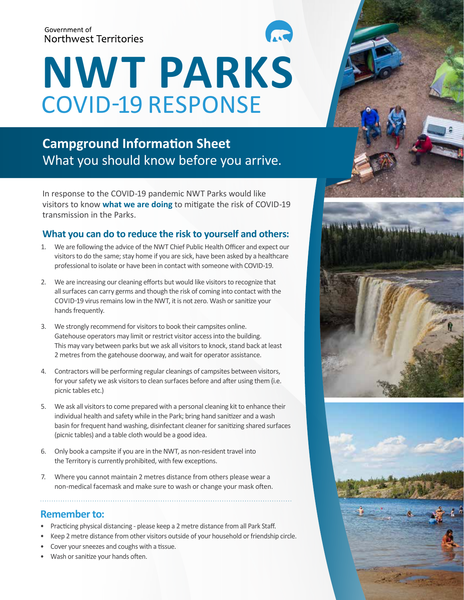#### Government of **Northwest Territories**

# **NWT PARKS** COVID-19 RESPONSE

# **Campground Information Sheet** What you should know before you arrive.

In response to the COVID-19 pandemic NWT Parks would like visitors to know **what we are doing** to mitigate the risk of COVID-19 transmission in the Parks.

## **What you can do to reduce the risk to yourself and others:**

- 1. We are following the advice of the NWT Chief Public Health Officer and expect our visitors to do the same; stay home if you are sick, have been asked by a healthcare professional to isolate or have been in contact with someone with COVID-19.
- 2. We are increasing our cleaning efforts but would like visitors to recognize that all surfaces can carry germs and though the risk of coming into contact with the COVID-19 virus remains low in the NWT, it is not zero. Wash or sanitize your hands frequently.
- 3. We strongly recommend for visitors to book their campsites online. Gatehouse operators may limit or restrict visitor access into the building. This may vary between parks but we ask all visitors to knock, stand back at least 2 metres from the gatehouse doorway, and wait for operator assistance.
- 4. Contractors will be performing regular cleanings of campsites between visitors, for your safety we ask visitors to clean surfaces before and after using them (i.e. picnic tables etc.)
- 5. We ask all visitors to come prepared with a personal cleaning kit to enhance their individual health and safety while in the Park; bring hand sanitizer and a wash basin for frequent hand washing, disinfectant cleaner for sanitizing shared surfaces (picnic tables) and a table cloth would be a good idea.
- 6. Only book a campsite if you are in the NWT, as non-resident travel into the Territory is currently prohibited, with few exceptions.
- 7. Where you cannot maintain 2 metres distance from others please wear a non-medical facemask and make sure to wash or change your mask often.

### **Remember to:**

- Practicing physical distancing please keep a 2 metre distance from all Park Staff.
- Keep 2 metre distance from other visitors outside of your household or friendship circle.
- Cover your sneezes and coughs with a tissue.
- Wash or sanitize your hands often.